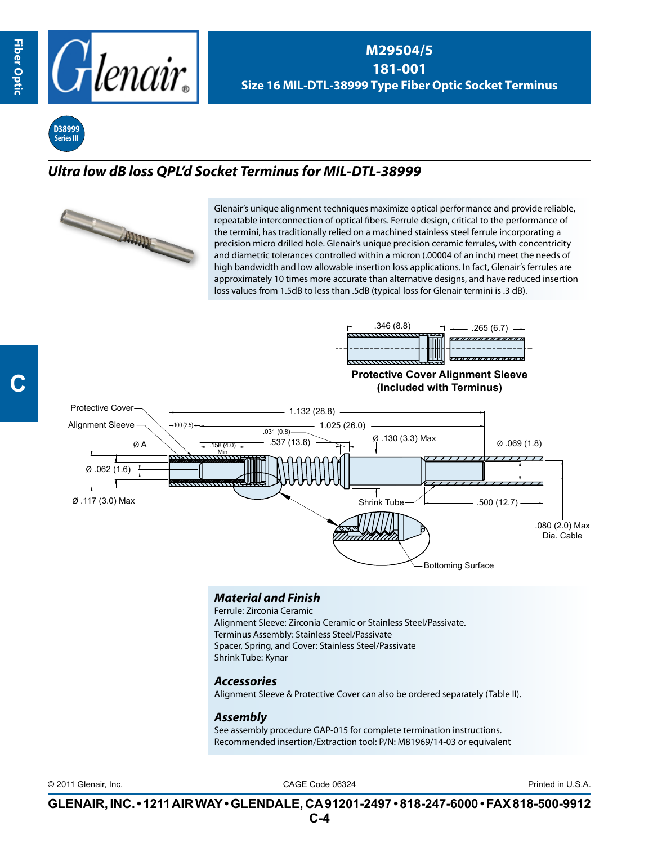**C**



**M29504/5 181-001 Size 16 MIL-DTL-38999 Type Fiber Optic Socket Terminus**



## *Ultra low dB loss QPL'd Socket Terminus for MIL-DTL-38999*



Glenair's unique alignment techniques maximize optical performance and provide reliable, repeatable interconnection of optical fibers. Ferrule design, critical to the performance of the termini, has traditionally relied on a machined stainless steel ferrule incorporating a precision micro drilled hole. Glenair's unique precision ceramic ferrules, with concentricity and diametric tolerances controlled within a micron (.00004 of an inch) meet the needs of high bandwidth and low allowable insertion loss applications. In fact, Glenair's ferrules are approximately 10 times more accurate than alternative designs, and have reduced insertion loss values from 1.5dB to less than .5dB (typical loss for Glenair termini is .3 dB).



## *Material and Finish*

Ferrule: Zirconia Ceramic Alignment Sleeve: Zirconia Ceramic or Stainless Steel/Passivate. Terminus Assembly: Stainless Steel/Passivate Spacer, Spring, and Cover: Stainless Steel/Passivate Shrink Tube: Kynar

## *Accessories*

Alignment Sleeve & Protective Cover can also be ordered separately (Table II).

## *Assembly*

See assembly procedure GAP-015 for complete termination instructions. Recommended insertion/Extraction tool: P/N: M81969/14-03 or equivalent

CAGE Code 06324 © 2011 Glenair, Inc. Printed in U.S.A.